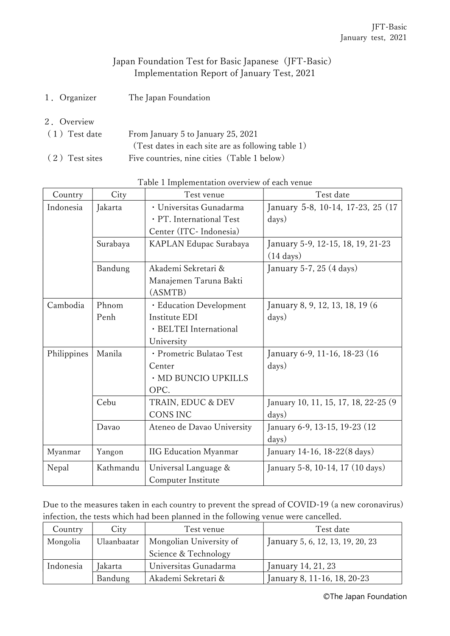## Japan Foundation Test for Basic Japanese (JFT-Basic) Implementation Report of January Test, 2021

- 1.Organizer The Japan Foundation
- 2.Overview

| (1) Test date  | From January 5 to January 25, 2021                 |  |  |
|----------------|----------------------------------------------------|--|--|
|                | (Test dates in each site are as following table 1) |  |  |
| (2) Test sites | Five countries, nine cities (Table 1 below)        |  |  |

| Country     | City      | Test venue                   | Test date                             |  |
|-------------|-----------|------------------------------|---------------------------------------|--|
| Indonesia   | Jakarta   | · Universitas Gunadarma      | January 5-8, 10-14, 17-23, 25 (17)    |  |
|             |           | · PT. International Test     | days)                                 |  |
|             |           | Center (ITC- Indonesia)      |                                       |  |
|             | Surabaya  | KAPLAN Edupac Surabaya       | January 5-9, 12-15, 18, 19, 21-23     |  |
|             |           |                              | $(14 \text{ days})$                   |  |
|             | Bandung   | Akademi Sekretari &          | January 5-7, 25 (4 days)              |  |
|             |           | Manajemen Taruna Bakti       |                                       |  |
|             |           | (ASMTB)                      |                                       |  |
| Cambodia    | Phnom     | · Education Development      | January 8, 9, 12, 13, 18, 19 (6       |  |
|             | Penh      | Institute EDI                | days)                                 |  |
|             |           | · BELTEI International       |                                       |  |
|             |           | University                   |                                       |  |
| Philippines | Manila    | · Prometric Bulatao Test     | January 6-9, 11-16, 18-23 (16         |  |
|             |           | Center                       | days)                                 |  |
|             |           | · MD BUNCIO UPKILLS          |                                       |  |
|             |           | OPC.                         |                                       |  |
|             | Cebu      | TRAIN, EDUC & DEV            | January 10, 11, 15, 17, 18, 22-25 (9) |  |
|             |           | <b>CONS INC</b>              | days)                                 |  |
|             | Davao     | Ateneo de Davao University   | January 6-9, 13-15, 19-23 (12)        |  |
|             |           |                              | days)                                 |  |
| Myanmar     | Yangon    | <b>IIG Education Myanmar</b> | January 14-16, 18-22(8 days)          |  |
| Nepal       | Kathmandu | Universal Language &         | January 5-8, 10-14, 17 (10 days)      |  |
|             |           | Computer Institute           |                                       |  |

Table 1 Implementation overview of each venue

Due to the measures taken in each country to prevent the spread of COVID-19 (a new coronavirus) infection, the tests which had been planned in the following venue were cancelled.

| Country   | City        | Test venue              | Test date                        |  |
|-----------|-------------|-------------------------|----------------------------------|--|
| Mongolia  | Ulaanbaatar | Mongolian University of | January 5, 6, 12, 13, 19, 20, 23 |  |
|           |             | Science & Technology    |                                  |  |
| Indonesia | Jakarta     | Universitas Gunadarma   | January 14, 21, 23               |  |
|           | Bandung     | Akademi Sekretari &     | January 8, 11-16, 18, 20-23      |  |